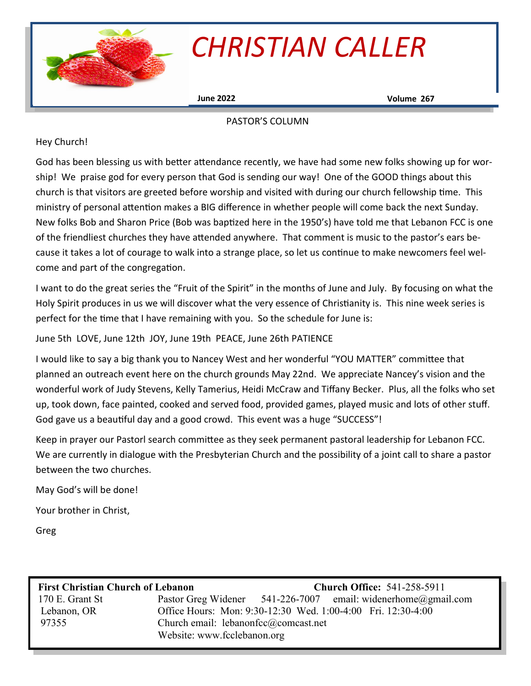

# *CHRISTIAN CALLER*

**June 2022 Volume 267**

#### PASTOR'S COLUMN

#### Hey Church!

God has been blessing us with better attendance recently, we have had some new folks showing up for worship! We praise god for every person that God is sending our way! One of the GOOD things about this church is that visitors are greeted before worship and visited with during our church fellowship time. This ministry of personal attention makes a BIG difference in whether people will come back the next Sunday. New folks Bob and Sharon Price (Bob was baptized here in the 1950's) have told me that Lebanon FCC is one of the friendliest churches they have attended anywhere. That comment is music to the pastor's ears because it takes a lot of courage to walk into a strange place, so let us continue to make newcomers feel welcome and part of the congregation.

I want to do the great series the "Fruit of the Spirit" in the months of June and July. By focusing on what the Holy Spirit produces in us we will discover what the very essence of Christianity is. This nine week series is perfect for the time that I have remaining with you. So the schedule for June is:

June 5th LOVE, June 12th JOY, June 19th PEACE, June 26th PATIENCE

I would like to say a big thank you to Nancey West and her wonderful "YOU MATTER" committee that planned an outreach event here on the church grounds May 22nd. We appreciate Nancey's vision and the wonderful work of Judy Stevens, Kelly Tamerius, Heidi McCraw and Tiffany Becker. Plus, all the folks who set up, took down, face painted, cooked and served food, provided games, played music and lots of other stuff. God gave us a beautiful day and a good crowd. This event was a huge "SUCCESS"!

Keep in prayer our Pastorl search committee as they seek permanent pastoral leadership for Lebanon FCC. We are currently in dialogue with the Presbyterian Church and the possibility of a joint call to share a pastor between the two churches.

May God's will be done!

Your brother in Christ,

Greg

| <b>First Christian Church of Lebanon</b> |                                        | <b>Church Office: 541-258-5911</b> |                                                               |
|------------------------------------------|----------------------------------------|------------------------------------|---------------------------------------------------------------|
| 170 E. Grant St                          |                                        |                                    | Pastor Greg Widener 541-226-7007 email: widenerhome@gmail.com |
| Lebanon, OR                              |                                        |                                    | Office Hours: Mon: 9:30-12:30 Wed. 1:00-4:00 Fri. 12:30-4:00  |
| 97355                                    | Church email: $lebanonfcc@comcast.net$ |                                    |                                                               |
|                                          | Website: www.fcclebanon.org            |                                    |                                                               |